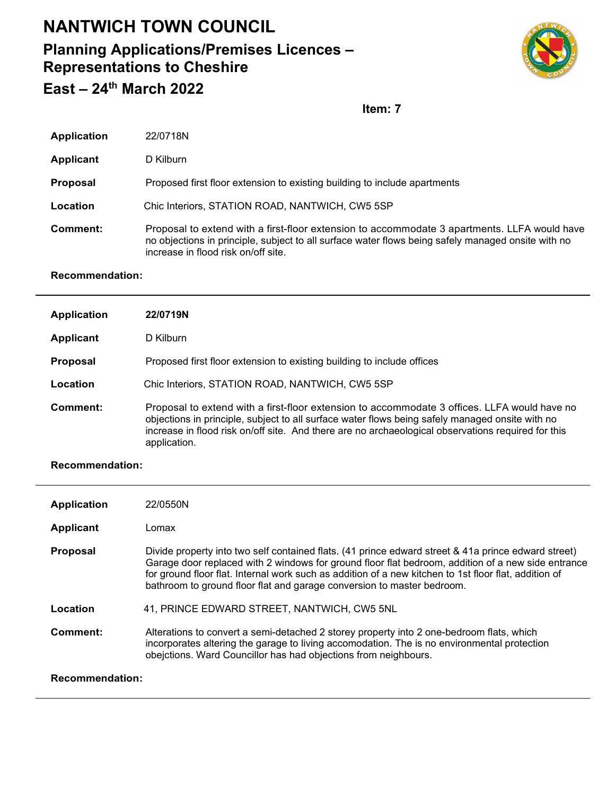## **NANTWICH TOWN COUNCIL**

## **Planning Applications/Premises Licences – Representations to Cheshire East – 24th March 2022**



**Item: 7**

| <b>Application</b> | 22/0718N                                                                                                                                                                                                                                  |
|--------------------|-------------------------------------------------------------------------------------------------------------------------------------------------------------------------------------------------------------------------------------------|
| <b>Applicant</b>   | D Kilburn                                                                                                                                                                                                                                 |
| <b>Proposal</b>    | Proposed first floor extension to existing building to include apartments                                                                                                                                                                 |
| Location           | Chic Interiors, STATION ROAD, NANTWICH, CW5 5SP                                                                                                                                                                                           |
| Comment:           | Proposal to extend with a first-floor extension to accommodate 3 apartments. LLFA would have<br>no objections in principle, subject to all surface water flows being safely managed onsite with no<br>increase in flood risk on/off site. |

## **Recommendation:**

| <b>Application</b> | <b>22/0719N</b>                                                                                                                                                                                                                                                                                                       |
|--------------------|-----------------------------------------------------------------------------------------------------------------------------------------------------------------------------------------------------------------------------------------------------------------------------------------------------------------------|
| <b>Applicant</b>   | D Kilburn                                                                                                                                                                                                                                                                                                             |
| <b>Proposal</b>    | Proposed first floor extension to existing building to include offices                                                                                                                                                                                                                                                |
| Location           | Chic Interiors, STATION ROAD, NANTWICH, CW5 5SP                                                                                                                                                                                                                                                                       |
| Comment:           | Proposal to extend with a first-floor extension to accommodate 3 offices. LLFA would have no<br>objections in principle, subject to all surface water flows being safely managed onsite with no<br>increase in flood risk on/off site. And there are no archaeological observations required for this<br>application. |

## **Recommendation:**

| <b>Application</b>     | 22/0550N                                                                                                                                                                                                                                                                                                                                                                                     |  |
|------------------------|----------------------------------------------------------------------------------------------------------------------------------------------------------------------------------------------------------------------------------------------------------------------------------------------------------------------------------------------------------------------------------------------|--|
| Applicant              | Lomax                                                                                                                                                                                                                                                                                                                                                                                        |  |
| <b>Proposal</b>        | Divide property into two self contained flats. (41 prince edward street & 41a prince edward street)<br>Garage door replaced with 2 windows for ground floor flat bedroom, addition of a new side entrance<br>for ground floor flat. Internal work such as addition of a new kitchen to 1st floor flat, addition of<br>bathroom to ground floor flat and garage conversion to master bedroom. |  |
| Location               | 41, PRINCE EDWARD STREET, NANTWICH, CW5 5NL                                                                                                                                                                                                                                                                                                                                                  |  |
| Comment:               | Alterations to convert a semi-detached 2 storey property into 2 one-bedroom flats, which<br>incorporates altering the garage to living accomodation. The is no environmental protection<br>obejctions. Ward Councillor has had objections from neighbours.                                                                                                                                   |  |
| <b>Recommendation:</b> |                                                                                                                                                                                                                                                                                                                                                                                              |  |